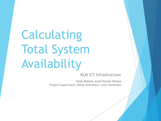Calculating Total System Availability

KLM ICT Infrastructure

Hoda Rohani, Azad Kamali Roosta Project Supervisors: Betty Gommans, Leon Gommans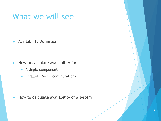#### What we will see

**Availability Definition** 

- $\blacktriangleright$  How to calculate availability for:
	- A single component
	- **Parallel / Serial configurations**

 $\blacktriangleright$  How to calculate availability of a system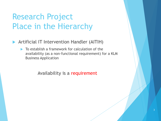### Research Project Place in the Hierarchy

- Artificial IT Intervention Handler (AITIH)
	- $\blacktriangleright$  To establish a framework for calculation of the availability (as a non-functional requirement) for a KLM Business Application

Availability is a requirement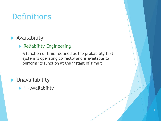### **Definitions**

#### **Availability**

#### **Reliability Engineering**

A function of time, defined as the probability that system is operating correctly and is available to perform its function at the instant of time t

**Divides** Unavailability

▶ 1 - Availability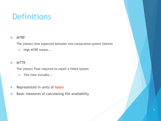### **Definitions**

#### MTBF

The (mean) time expected between two consecutive system failures

 $\blacktriangleright$  High MTBF means...

#### **MTTR**

The (mean) Time required to repair a failed system

- ▶ This time includes ...
- Represented in units of hours
- Basic measures of calculating the availability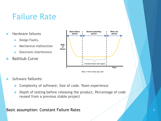# Failure Rate

- Hardware failures
	- Design Faults,
	- Mechanical malfunction
	- Electronic Interference
- Bathtub Curve



Software failures:

- Complexity of software, Size of code. Team experience
- **Depth of testing before releasing the product, Percentage of code** reused from a previous stable project

#### Basic assumption: Constant Failure Rates **6 August 2018** 6 May 10 May 10 May 10 May 10 May 10 May 10 May 10 May 10 May 10 May 10 May 10 May 10 May 10 May 10 May 10 May 10 May 10 May 10 May 10 May 10 May 10 May 10 May 10 Ma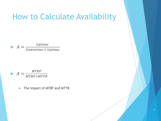#### How to Calculate Availability

 $\blacktriangleright A =$ Uptime Downtime + Uptime

$$
A = \frac{MTBF}{MTBF + MTTR}
$$

The impact of MTBF and MTTR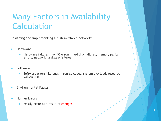# Many Factors in Availability Calculation

Designing and implementing a high available network:

#### Hardware

▶ Hardware failures like I/O errors, hard disk failures, memory parity errors, network hardware failures

#### Software

- Software errors like bugs in source codes, system overload, resource exhausting
- Environmental Faults
- Human Errors
	- Mostly occur as a result of changes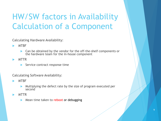# HW/SW factors in Availability Calculation of a Component

Calculating Hardware Availability:

- MTBF
	- **Can be obtained by the vendor for the off-the-shelf components or** the hardware team for the in-house component
- MTTR
	- Service contract response time

Calculating Software Availability:

- MTBF
	- Multiplying the defect rate by the size of program executed per second
- MTTR
	- Mean time taken to reboot or debugging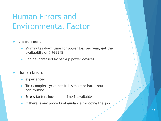# Human Errors and Environmental Factor

#### Environment

- 29 minutes down time for power loss per year, get the availability of 0.999945
- ▶ Can be increased by backup power devices

#### Human Errors

- **Experienced**
- Task complexity: either it is simple or hard, routine or non-routine
- Stress factor: how much time is available
- If there is any procedural guidance for doing the job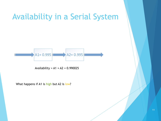# Availability in a Serial System  $A1 = 0.995$  $A2 = 0.995$

Availability =  $A1 \times A2 = 0.990025$ 

What happens if A1 is high but A2 is low?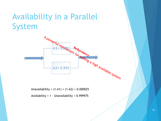# Availability in a Parallel



Unavailability =  $(1-A1) \times (1-A2) = 0.000025$ 

Availability = 1 – Unavailability = 0.999975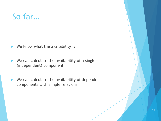#### So far…

 $\blacktriangleright$  We know what the availability is

- $\blacktriangleright$  We can calculate the availability of a single (independent) component
- $\blacktriangleright$  We can calculate the availability of dependent components with simple relations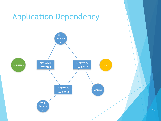# Application Dependency

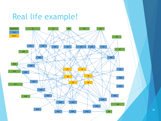#### Real life example!



16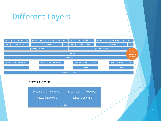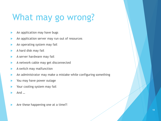# What may go wrong?

- An application may have bugs
- An application server may run out of resources
- An operating system may fail
- A hard disk may fail
- A server hardware may fail
- A network cable may get disconnected
- A switch may malfunction
- An administrator may make a mistake while configuring something
- You may have power outage
- Your cooling system may fail
- And …
- Are these happening one at a time?!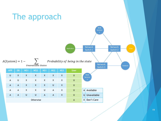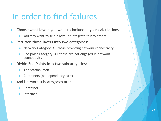#### In order to find failures

Choose what layers you want to include in your calculations

- ▶ You may want to skip a level or integrate it into others
- Partition those layers into two categories:
	- Network Category: All those providing network connectivity
	- End point Category: All those are not engaged in network connectivity
- Divide End Points into two subcategories:
	- Application itself
	- Containers (no dependency rule)
- And Network subcategories are:
	- Container
	- Interface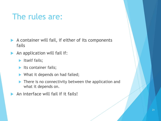### The rules are:

- A container will fail, if either of its components fails
- An application will fail if:
	- $\blacktriangleright$  Itself fails;
	- $\blacktriangleright$  Its container fails;
	- What it depends on had failed;
	- **There is no connectivity between the application and** what it depends on.
	- An interface will fail if it fails!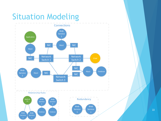# Situation Modeling



22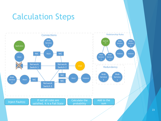# Calculation Steps

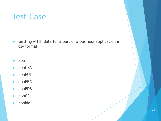### Test Case

- Getting AITIH data for a part of a business application in csv format
- appT
- **appCSA**
- **appEUI**
- **appEBC**
- appEDB
- appCS
- appkia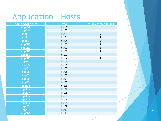#### **Application - Hosts**

| <b>Application Name</b> | <b>Host</b> | <b>No. of Clones Running</b> |
|-------------------------|-------------|------------------------------|
| appCSA                  | hst01       |                              |
| appCSA                  | hst02       | 1                            |
| appEUI                  | hst03       | 5                            |
| appEUI                  | hst04       | 5                            |
| appEUI                  | hst05       | 5                            |
| appEBC                  | hst06       | $\overline{3}$               |
| appEBC                  | hst07       | $\overline{3}$               |
| appEBC                  | hst08       | $\overline{\mathbf{3}}$      |
| appEBC                  | hst03       | $\overline{\mathbf{3}}$      |
| appEBC                  | hst04       | $\overline{3}$               |
| appEBC                  | hst05       | $\overline{3}$               |
| appCS                   | hst06       | 1                            |
| appCS                   | hst07       |                              |
| appCS                   | hst08       |                              |
| appCS                   | hst03       |                              |
| appCS                   | hst04       | 1                            |
| appCS                   | hst05       |                              |
| appkia                  | hst06       |                              |
| appkia                  | hst07       |                              |
| appkia                  | hst08       |                              |
| appkia                  | hst03       | 1                            |
| appkia                  | hst04       |                              |
| appkia                  | hst05       |                              |
| appT                    | hst09       |                              |
| appT                    | hst10       |                              |
| appEDB                  | hst11       | 1                            |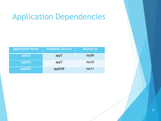## Application Dependencies

| <b>Application Name</b> | <b>Database Service</b> | <b>Hosted on</b>  |
|-------------------------|-------------------------|-------------------|
| appCS                   | appT                    | hst09             |
| appkia                  | appT                    | hst <sub>10</sub> |
| appEBC                  | appEDB                  | hst11             |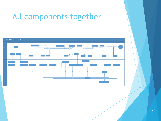#### All components together

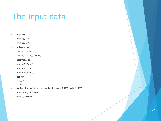## The input data

#### **apps.csv**

*hst01,appCSA,1*

*hst02,appCSA,1*

#### **netnods.csv**

*Switch\_1,Switch\_3*

*Switch\_3,Switch\_2,Switch\_1*

#### **hostnicsw.csv**

*hst08,eth2,Switch\_1*

*hst07,eth2,Switch\_1*

*hst01,eth2,Switch\_1*

#### **dep.csv**

*appCS,appT*

*appkia,appT*

#### **availability.csv** (A random number between 0.9999 and 0.999997)

*hst08->eth2,,,0.999944*

*hst09,,,0.999972*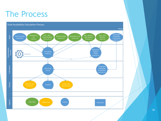## The Process

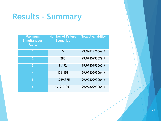# **Results - Summary**

| <b>Maximum</b><br><b>Simultaneous</b><br><b>Faults</b> | <b>Number of Failure</b><br><b>Scenarios</b> | <b>Total Availability</b> |
|--------------------------------------------------------|----------------------------------------------|---------------------------|
| 1                                                      | 5                                            | 99.9781476669 %           |
| $\overline{2}$                                         | 280                                          | 99.9780993579 %           |
| 3                                                      | 8,192                                        | 99.9780993065 %           |
| 4                                                      | 136,153                                      | 99.9780993064 %           |
| 5                                                      | 1,769,375                                    | 99.9780993064 %           |
| 6                                                      | 17,919,053                                   | 99.9780993064 %           |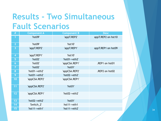## **Results - Two Simultaneous Fault Scenarios**

| #               | <b>Component A</b> | <b>Component B</b> | <b>Desc</b>        |
|-----------------|--------------------|--------------------|--------------------|
| 1               | 'hst09'            | 'appT.REP2'        | appT.REP2 on hst10 |
| $\overline{2}$  | 'hst09'            | 'hst10'            |                    |
| 3               | 'appT.REP2'        | 'appT.REP1'        | appT.REP1 on hst09 |
| $\overline{4}$  | 'appT.REP1'        | 'hst10'            |                    |
| 5               | 'hst02'            | 'hst01->eth2'      |                    |
| $6\phantom{1}6$ | 'hst02'            | 'appCSA.REP1'      | .REP1 on hst01     |
| $\overline{7}$  | 'hst02'            | 'hst01'            |                    |
| 8               | 'hst01->eth2'      | 'appCSA.REP2'      | .REP2 on hst02     |
| 9               | 'hst01->eth2'      | 'hst02->eth2'      |                    |
| 10              | 'appCSA.REP2'      | 'appCSA.REP1'      |                    |
| 11              | 'appCSA.REP2'      | 'hst01'            |                    |
| 12              | 'appCSA.REP1'      | 'hst02->eth2'      |                    |
| 13              | 'hst02->eth2'      | 'hst01'            |                    |
| 14              | 'Switch_2'         | hst11->eth1        |                    |
| 15              | 'hst11->eth1'      | 'hst11->eth2'      |                    |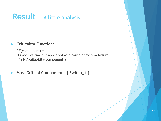#### **Result –** A little analysis

#### **Criticality Function:**

CF(component) = Number of times it appeared as a cause of system failure \* (1- Availability(component))

**Most Critical Components: ['Switch\_1']**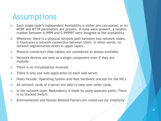#### **Assumptions**

- Each single node's independent Availability is either pre-calculated, or its MTBF and MTTR parameters are present. If none were present, a random number between 0.9999 and 0.999997 were assigned as the availability.
- Whenever there is a physical network path between two network nodes, it illustrates a network connection between them. In other words, no network segmentation exists in upper layers.
- Physical connectors (like cables) are considered as always available.
- Network devices are seen as a single component even if they are modular.
- There is no virtualization involved.
- There is only one web application on each web server.
- Hosts include: Operating System and Host hardware (except for the NIC).
- All network cards of a server are able to take-over other cards.
- In the network layer, Redundancy is made by using separate paths. There is no Stacked Switch.
- *Environmental and Human Related Factors are rolled out for simplicity*